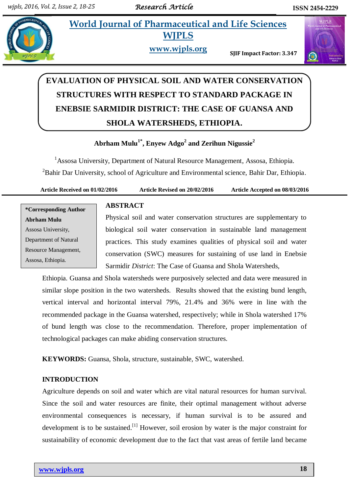## **228 • World Journal of Pharmaceutical and Life Sciences WJPLS**

**www.wjpls.org SJIF Impact Factor: 3.347**



# **EVALUATION OF PHYSICAL SOIL AND WATER CONSERVATION STRUCTURES WITH RESPECT TO STANDARD PACKAGE IN ENEBSIE SARMIDIR DISTRICT: THE CASE OF GUANSA AND SHOLA WATERSHEDS, ETHIOPIA.**

### **Abrham Mulu1\* , Enyew Adgo<sup>2</sup> and Zerihun Nigussie<sup>2</sup>**

<sup>1</sup>Assosa University, Department of Natural Resource Management, Assosa, Ethiopia. <sup>2</sup>Bahir Dar University, school of Agriculture and Environmental science, Bahir Dar, Ethiopia.

**Article Received on 01/02/2016 Article Revised on 20/02/2016 Article Accepted on 08/03/2016**

**\*Corresponding Author Abrham Mulu** Assosa University, Department of Natural Resource Management, Assosa, Ethiopia.

#### **ABSTRACT**

Physical soil and water conservation structures are supplementary to biological soil water conservation in sustainable land management practices. This study examines qualities of physical soil and water conservation (SWC) measures for sustaining of use land in Enebsie Sarmidir *District*: The Case of Guansa and Shola Watersheds,

Ethiopia. Guansa and Shola watersheds were purposively selected and data were measured in similar slope position in the two watersheds. Results showed that the existing bund length, vertical interval and horizontal interval 79%, 21.4% and 36% were in line with the recommended package in the Guansa watershed, respectively; while in Shola watershed 17% of bund length was close to the recommendation. Therefore, proper implementation of technological packages can make abiding conservation structures.

**KEYWORDS:** Guansa, Shola, structure, sustainable, SWC, watershed.

#### **INTRODUCTION**

Agriculture depends on soil and water which are vital natural resources for human survival. Since the soil and water resources are finite, their optimal management without adverse environmental consequences is necessary, if human survival is to be assured and development is to be sustained.<sup>[1]</sup> However, soil erosion by water is the major constraint for sustainability of economic development due to the fact that vast areas of fertile land became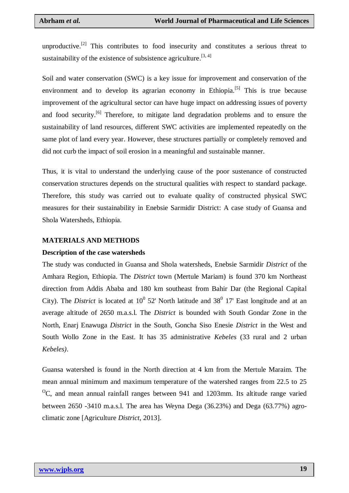unproductive.<sup>[2]</sup> This contributes to food insecurity and constitutes a serious threat to sustainability of the existence of subsistence agriculture.<sup>[3,4]</sup>

Soil and water conservation (SWC) is a key issue for improvement and conservation of the environment and to develop its agrarian economy in Ethiopia.<sup>[5]</sup> This is true because improvement of the agricultural sector can have huge impact on addressing issues of poverty and food security.<sup>[6]</sup> Therefore, to mitigate land degradation problems and to ensure the sustainability of land resources, different SWC activities are implemented repeatedly on the same plot of land every year. However, these structures partially or completely removed and did not curb the impact of soil erosion in a meaningful and sustainable manner.

Thus, it is vital to understand the underlying cause of the poor sustenance of constructed conservation structures depends on the structural qualities with respect to standard package. Therefore, this study was carried out to evaluate quality of constructed physical SWC measures for their sustainability in Enebsie Sarmidir District: A case study of Guansa and Shola Watersheds, Ethiopia.

#### **MATERIALS AND METHODS**

#### **Description of the case watersheds**

The study was conducted in Guansa and Shola watersheds, Enebsie Sarmidir *District* of the Amhara Region, Ethiopia. The *District* town (Mertule Mariam) is found 370 km Northeast direction from Addis Ababa and 180 km southeast from Bahir Dar (the Regional Capital City). The *District* is located at  $10^{\circ}$  52' North latitude and 38 $^{\circ}$  17' East longitude and at an average altitude of 2650 m.a.s.l. The *District* is bounded with South Gondar Zone in the North, Enarj Enawuga *District* in the South, Goncha Siso Enesie *District* in the West and South Wollo Zone in the East. It has 35 administrative *Kebeles* (33 rural and 2 urban *Kebeles)*.

Guansa watershed is found in the North direction at 4 km from the Mertule Maraim. The mean annual minimum and maximum temperature of the watershed ranges from 22.5 to 25  $\rm{^{0}C}$ , and mean annual rainfall ranges between 941 and 1203mm. Its altitude range varied between 2650 -3410 m.a.s.l. The area has Weyna Dega (36.23%) and Dega (63.77%) agroclimatic zone [Agriculture *District*, 2013].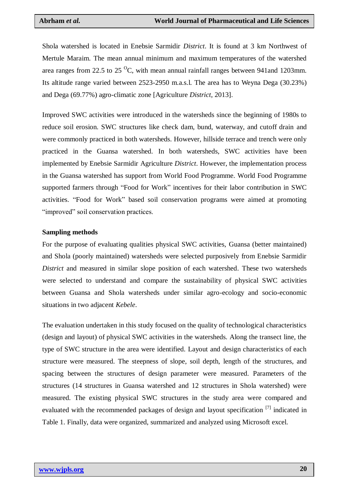Shola watershed is located in Enebsie Sarmidir *District*. It is found at 3 km Northwest of Mertule Maraim. The mean annual minimum and maximum temperatures of the watershed area ranges from 22.5 to 25 $\mathrm{^{\circ}C}$ , with mean annual rainfall ranges between 941and 1203mm. Its altitude range varied between 2523-2950 m.a.s.l. The area has to Weyna Dega (30.23%) and Dega (69.77%) agro-climatic zone [Agriculture *District*, 2013].

Improved SWC activities were introduced in the watersheds since the beginning of 1980s to reduce soil erosion. SWC structures like check dam, bund, waterway, and cutoff drain and were commonly practiced in both watersheds. However, hillside terrace and trench were only practiced in the Guansa watershed. In both watersheds, SWC activities have been implemented by Enebsie Sarmidir Agriculture *District*. However, the implementation process in the Guansa watershed has support from World Food Programme. World Food Programme supported farmers through "Food for Work" incentives for their labor contribution in SWC activities. "Food for Work" based soil conservation programs were aimed at promoting "improved" soil conservation practices.

#### **Sampling methods**

For the purpose of evaluating qualities physical SWC activities, Guansa (better maintained) and Shola (poorly maintained) watersheds were selected purposively from Enebsie Sarmidir *District* and measured in similar slope position of each watershed. These two watersheds were selected to understand and compare the sustainability of physical SWC activities between Guansa and Shola watersheds under similar agro-ecology and socio-economic situations in two adjacent *Kebele*.

The evaluation undertaken in this study focused on the quality of technological characteristics (design and layout) of physical SWC activities in the watersheds. Along the transect line, the type of SWC structure in the area were identified. Layout and design characteristics of each structure were measured. The steepness of slope, soil depth, length of the structures, and spacing between the structures of design parameter were measured. Parameters of the structures (14 structures in Guansa watershed and 12 structures in Shola watershed) were measured. The existing physical SWC structures in the study area were compared and evaluated with the recommended packages of design and layout specification <sup>[7]</sup> indicated in Table 1. Finally, data were organized, summarized and analyzed using Microsoft excel.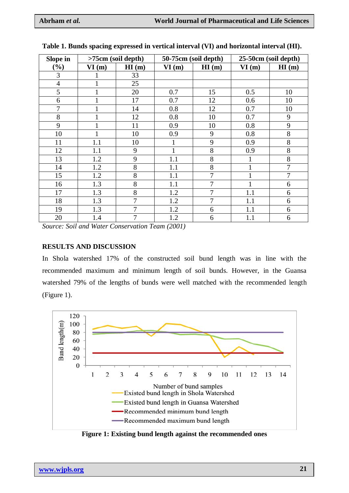| Slope in         |              | $>75cm$ (soil depth) |       | 50-75cm (soil depth) | 25-50cm (soil depth) |                |  |
|------------------|--------------|----------------------|-------|----------------------|----------------------|----------------|--|
| $\mathcal{O}(6)$ | VI(m)        | HI(m)                | VI(m) | HI(m)                | VI(m)                | HI(m)          |  |
| 3                |              | 33                   |       |                      |                      |                |  |
| $\overline{4}$   | T            | 25                   |       |                      |                      |                |  |
| 5                |              | 20                   | 0.7   | 15                   | 0.5                  | 10             |  |
| 6                |              | 17                   | 0.7   | 12                   | 0.6                  | 10             |  |
| $\overline{7}$   |              | 14                   | 0.8   | 12                   | 0.7                  | 10             |  |
| 8                |              | 12                   | 0.8   | 10                   | 0.7                  | 9              |  |
| 9                |              | 11                   | 0.9   | 10                   | 0.8                  | 9              |  |
| 10               | $\mathbf{1}$ | 10                   | 0.9   | 9                    | 0.8                  | 8              |  |
| 11               | 1.1          | 10                   |       | 9                    | 0.9                  | 8              |  |
| 12               | 1.1          | 9                    |       | 8                    | 0.9                  | 8              |  |
| 13               | 1.2          | 9                    | 1.1   | 8                    | $\mathbf{1}$         | 8              |  |
| 14               | 1.2          | 8                    | 1.1   | 8                    | $\mathbf{1}$         | 7              |  |
| 15               | 1.2          | 8                    | 1.1   | 7                    |                      | $\overline{7}$ |  |
| 16               | 1.3          | 8                    | 1.1   | $\overline{7}$       | $\mathbf{1}$         | 6              |  |
| 17               | 1.3          | 8                    | 1.2   | 7                    | 1.1                  | 6              |  |
| 18               | 1.3          | $\overline{7}$       | 1.2   | 7                    | 1.1                  | 6              |  |
| 19               | 1.3          | 7                    | 1.2   | 6                    | 1.1                  | 6              |  |
| 20               | 1.4          | 7                    | 1.2   | 6                    | 1.1                  | 6              |  |

|  | Table 1. Bunds spacing expressed in vertical interval (VI) and horizontal interval (HI). |  |  |  |  |
|--|------------------------------------------------------------------------------------------|--|--|--|--|
|  |                                                                                          |  |  |  |  |

*Source: Soil and Water Conservation Team (2001)*

#### **RESULTS AND DISCUSSION**

In Shola watershed 17% of the constructed soil bund length was in line with the recommended maximum and minimum length of soil bunds. However, in the Guansa watershed 79% of the lengths of bunds were well matched with the recommended length (Figure 1).



**Figure 1: Existing bund length against the recommended ones**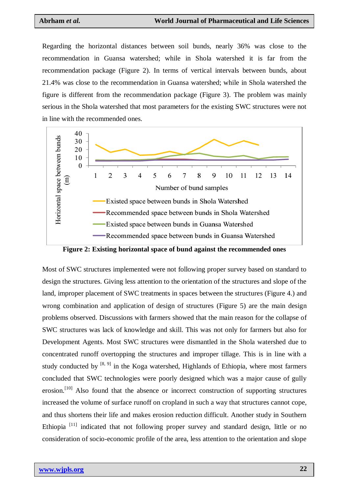Regarding the horizontal distances between soil bunds, nearly 36% was close to the recommendation in Guansa watershed; while in Shola watershed it is far from the recommendation package (Figure 2). In terms of vertical intervals between bunds, about 21.4% was close to the recommendation in Guansa watershed; while in Shola watershed the figure is different from the recommendation package (Figure 3). The problem was mainly serious in the Shola watershed that most parameters for the existing SWC structures were not in line with the recommended ones.



**Figure 2: Existing horizontal space of bund against the recommended ones**

Most of SWC structures implemented were not following proper survey based on standard to design the structures. Giving less attention to the orientation of the structures and slope of the land, improper placement of SWC treatments in spaces between the structures (Figure 4.) and wrong combination and application of design of structures (Figure 5) are the main design problems observed. Discussions with farmers showed that the main reason for the collapse of SWC structures was lack of knowledge and skill. This was not only for farmers but also for Development Agents. Most SWC structures were dismantled in the Shola watershed due to concentrated runoff overtopping the structures and improper tillage. This is in line with a study conducted by  $[8, 9]$  in the Koga watershed, Highlands of Ethiopia, where most farmers concluded that SWC technologies were poorly designed which was a major cause of gully erosion.<sup>[10]</sup> Also found that the absence or incorrect construction of supporting structures increased the volume of surface runoff on cropland in such a way that structures cannot cope, and thus shortens their life and makes erosion reduction difficult. Another study in Southern Ethiopia  $[11]$  indicated that not following proper survey and standard design, little or no consideration of socio-economic profile of the area, less attention to the orientation and slope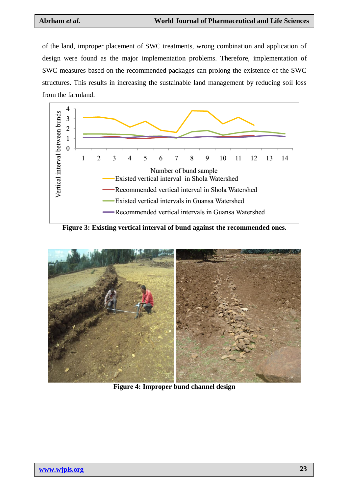of the land, improper placement of SWC treatments, wrong combination and application of design were found as the major implementation problems. Therefore, implementation of SWC measures based on the recommended packages can prolong the existence of the SWC structures. This results in increasing the sustainable land management by reducing soil loss from the farmland.



**Figure 3: Existing vertical interval of bund against the recommended ones.**



**Figure 4: Improper bund channel design**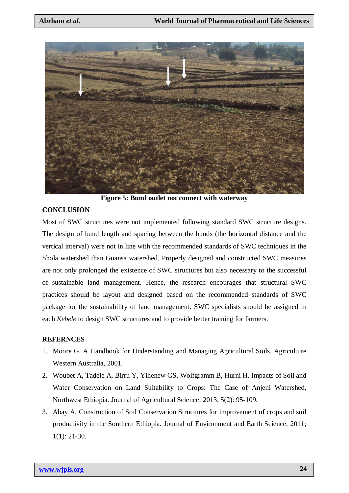

**Figure 5: Bund outlet not connect with waterway**

#### **CONCLUSION**

Most of SWC structures were not implemented following standard SWC structure designs. The design of bund length and spacing between the bunds (the horizontal distance and the vertical interval) were not in line with the recommended standards of SWC techniques in the Shola watershed than Guansa watershed. Properly designed and constructed SWC measures are not only prolonged the existence of SWC structures but also necessary to the successful of sustainable land management. Hence, the research encourages that structural SWC practices should be layout and designed based on the recommended standards of SWC package for the sustainability of land management. SWC specialists should be assigned in each *Kebele* to design SWC structures and to provide better training for farmers.

#### **REFERNCES**

- 1. Moore G. A Handbook for Understanding and Managing Agricultural Soils. Agriculture Western Australia, 2001.
- 2. Woubet A, Tadele A, Birru Y, Yihenew GS, Wolfgramm B, Hurni H. Impacts of Soil and Water Conservation on Land Suitability to Crops: The Case of Anjeni Watershed, Northwest Ethiopia. Journal of Agricultural Science, 2013; 5(2): 95-109.
- 3. Abay A. Construction of Soil Conservation Structures for improvement of crops and soil productivity in the Southern Ethiopia. Journal of Environment and Earth Science, 2011; 1(1): 21-30.